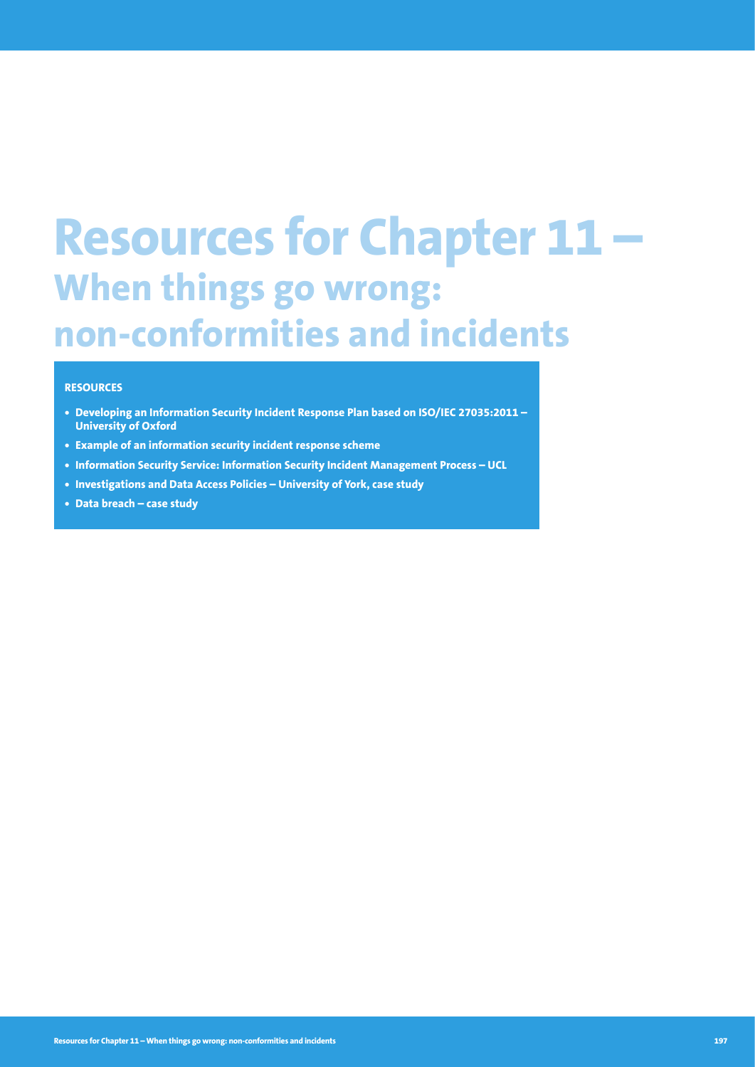# **Resources for Chapter 11 – When things go wrong: non-conformities and incidents**

#### **RESOURCES**

- **• Developing an Information Security Incident Response Plan based on ISO/IEC 27035:2011 University of Oxford**
- **• Example of an information security incident response scheme**
- **• Information Security Service: Information Security Incident Management Process UCL**
- **• Investigations and Data Access Policies University of York, case study**
- **• Data breach case study**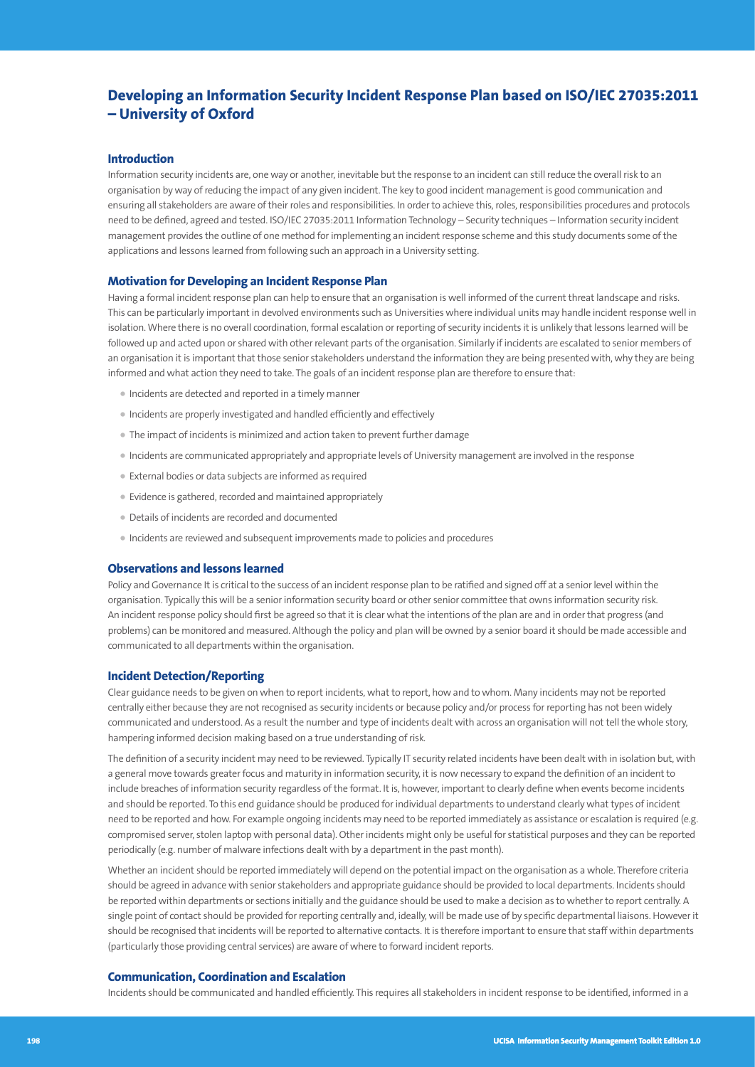# **Developing an Information Security Incident Response Plan based on ISO/IEC 27035:2011 – University of Oxford**

### **Introduction**

Information security incidents are, one way or another, inevitable but the response to an incident can still reduce the overall risk to an organisation by way of reducing the impact of any given incident. The key to good incident management is good communication and ensuring all stakeholders are aware of their roles and responsibilities. In order to achieve this, roles, responsibilities procedures and protocols need to be defined, agreed and tested. ISO/IEC 27035:2011 Information Technology – Security techniques – Information security incident management provides the outline of one method for implementing an incident response scheme and this study documents some of the applications and lessons learned from following such an approach in a University setting.

#### **Motivation for Developing an Incident Response Plan**

Having a formal incident response plan can help to ensure that an organisation is well informed of the current threat landscape and risks. This can be particularly important in devolved environments such as Universities where individual units may handle incident response well in isolation. Where there is no overall coordination, formal escalation or reporting of security incidents it is unlikely that lessons learned will be followed up and acted upon or shared with other relevant parts of the organisation. Similarly if incidents are escalated to senior members of an organisation it is important that those senior stakeholders understand the information they are being presented with, why they are being informed and what action they need to take. The goals of an incident response plan are therefore to ensure that:

- Incidents are detected and reported in a timely manner
- Incidents are properly investigated and handled efficiently and effectively
- The impact of incidents is minimized and action taken to prevent further damage
- Incidents are communicated appropriately and appropriate levels of University management are involved in the response
- External bodies or data subjects are informed as required
- Evidence is gathered, recorded and maintained appropriately
- Details of incidents are recorded and documented
- Incidents are reviewed and subsequent improvements made to policies and procedures

#### **Observations and lessons learned**

Policy and Governance It is critical to the success of an incident response plan to be ratified and signed off at a senior level within the organisation. Typically this will be a senior information security board or other senior committee that owns information security risk. An incident response policy should first be agreed so that it is clear what the intentions of the plan are and in order that progress (and problems) can be monitored and measured. Although the policy and plan will be owned by a senior board it should be made accessible and communicated to all departments within the organisation.

#### **Incident Detection/Reporting**

Clear guidance needs to be given on when to report incidents, what to report, how and to whom. Many incidents may not be reported centrally either because they are not recognised as security incidents or because policy and/or process for reporting has not been widely communicated and understood. As a result the number and type of incidents dealt with across an organisation will not tell the whole story, hampering informed decision making based on a true understanding of risk.

The definition of a security incident may need to be reviewed. Typically IT security related incidents have been dealt with in isolation but, with a general move towards greater focus and maturity in information security, it is now necessary to expand the definition of an incident to include breaches of information security regardless of the format. It is, however, important to clearly define when events become incidents and should be reported. To this end guidance should be produced for individual departments to understand clearly what types of incident need to be reported and how. For example ongoing incidents may need to be reported immediately as assistance or escalation is required (e.g. compromised server, stolen laptop with personal data). Other incidents might only be useful for statistical purposes and they can be reported periodically (e.g. number of malware infections dealt with by a department in the past month).

Whether an incident should be reported immediately will depend on the potential impact on the organisation as a whole. Therefore criteria should be agreed in advance with senior stakeholders and appropriate guidance should be provided to local departments. Incidents should be reported within departments or sections initially and the guidance should be used to make a decision as to whether to report centrally. A single point of contact should be provided for reporting centrally and, ideally, will be made use of by specific departmental liaisons. However it should be recognised that incidents will be reported to alternative contacts. It is therefore important to ensure that staff within departments (particularly those providing central services) are aware of where to forward incident reports.

## **Communication, Coordination and Escalation**

Incidents should be communicated and handled efficiently. This requires all stakeholders in incident response to be identified, informed in a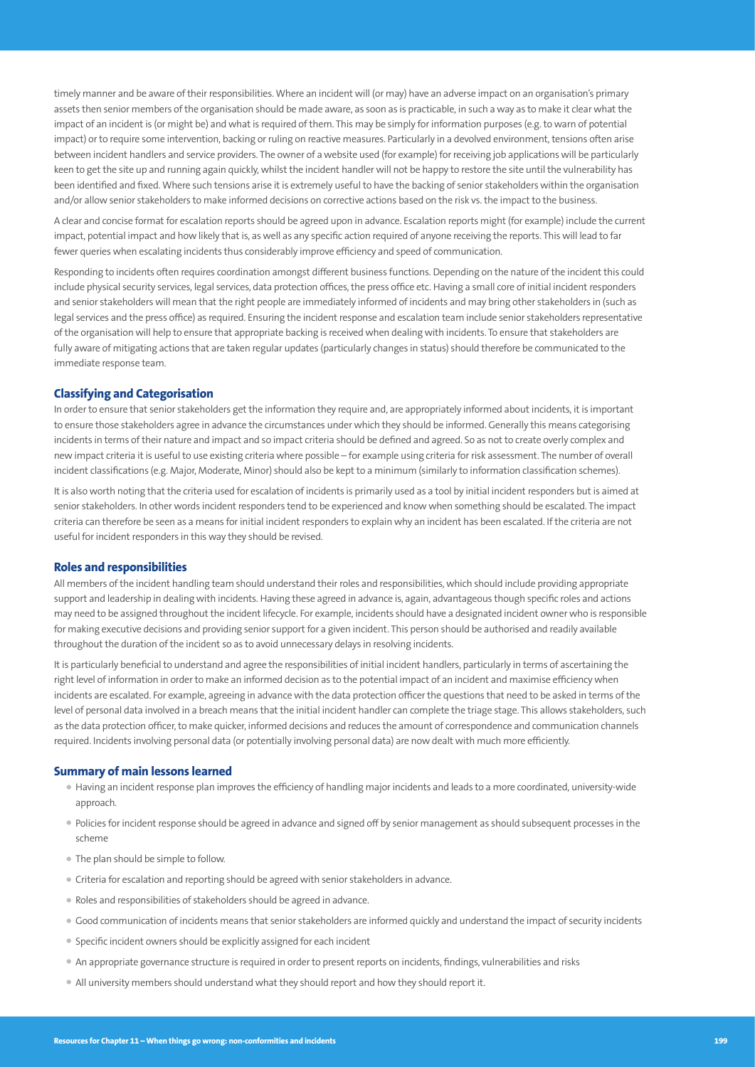timely manner and be aware of their responsibilities. Where an incident will (or may) have an adverse impact on an organisation's primary assets then senior members of the organisation should be made aware, as soon as is practicable, in such a way as to make it clear what the impact of an incident is (or might be) and what is required of them. This may be simply for information purposes (e.g. to warn of potential impact) or to require some intervention, backing or ruling on reactive measures. Particularly in a devolved environment, tensions often arise between incident handlers and service providers. The owner of a website used (for example) for receiving job applications will be particularly keen to get the site up and running again quickly, whilst the incident handler will not be happy to restore the site until the vulnerability has been identified and fixed. Where such tensions arise it is extremely useful to have the backing of senior stakeholders within the organisation and/or allow senior stakeholders to make informed decisions on corrective actions based on the risk vs. the impact to the business.

A clear and concise format for escalation reports should be agreed upon in advance. Escalation reports might (for example) include the current impact, potential impact and how likely that is, as well as any specific action required of anyone receiving the reports. This will lead to far fewer queries when escalating incidents thus considerably improve efficiency and speed of communication.

Responding to incidents often requires coordination amongst different business functions. Depending on the nature of the incident this could include physical security services, legal services, data protection offices, the press office etc. Having a small core of initial incident responders and senior stakeholders will mean that the right people are immediately informed of incidents and may bring other stakeholders in (such as legal services and the press office) as required. Ensuring the incident response and escalation team include senior stakeholders representative of the organisation will help to ensure that appropriate backing is received when dealing with incidents. To ensure that stakeholders are fully aware of mitigating actions that are taken regular updates (particularly changes in status) should therefore be communicated to the immediate response team.

#### **Classifying and Categorisation**

In order to ensure that senior stakeholders get the information they require and, are appropriately informed about incidents, it is important to ensure those stakeholders agree in advance the circumstances under which they should be informed. Generally this means categorising incidents in terms of their nature and impact and so impact criteria should be defined and agreed. So as not to create overly complex and new impact criteria it is useful to use existing criteria where possible – for example using criteria for risk assessment. The number of overall incident classifications (e.g. Major, Moderate, Minor) should also be kept to a minimum (similarly to information classification schemes).

It is also worth noting that the criteria used for escalation of incidents is primarily used as a tool by initial incident responders but is aimed at senior stakeholders. In other words incident responders tend to be experienced and know when something should be escalated. The impact criteria can therefore be seen as a means for initial incident responders to explain why an incident has been escalated. If the criteria are not useful for incident responders in this way they should be revised.

#### **Roles and responsibilities**

All members of the incident handling team should understand their roles and responsibilities, which should include providing appropriate support and leadership in dealing with incidents. Having these agreed in advance is, again, advantageous though specific roles and actions may need to be assigned throughout the incident lifecycle. For example, incidents should have a designated incident owner who is responsible for making executive decisions and providing senior support for a given incident. This person should be authorised and readily available throughout the duration of the incident so as to avoid unnecessary delays in resolving incidents.

It is particularly beneficial to understand and agree the responsibilities of initial incident handlers, particularly in terms of ascertaining the right level of information in order to make an informed decision as to the potential impact of an incident and maximise efficiency when incidents are escalated. For example, agreeing in advance with the data protection officer the questions that need to be asked in terms of the level of personal data involved in a breach means that the initial incident handler can complete the triage stage. This allows stakeholders, such as the data protection officer, to make quicker, informed decisions and reduces the amount of correspondence and communication channels required. Incidents involving personal data (or potentially involving personal data) are now dealt with much more efficiently.

#### **Summary of main lessons learned**

- Having an incident response plan improves the efficiency of handling major incidents and leads to a more coordinated, university-wide approach.
- Policies for incident response should be agreed in advance and signed off by senior management as should subsequent processes in the scheme
- The plan should be simple to follow.
- Criteria for escalation and reporting should be agreed with senior stakeholders in advance.
- Roles and responsibilities of stakeholders should be agreed in advance.
- Good communication of incidents means that senior stakeholders are informed quickly and understand the impact of security incidents
- Specific incident owners should be explicitly assigned for each incident
- An appropriate governance structure is required in order to present reports on incidents, findings, vulnerabilities and risks
- All university members should understand what they should report and how they should report it.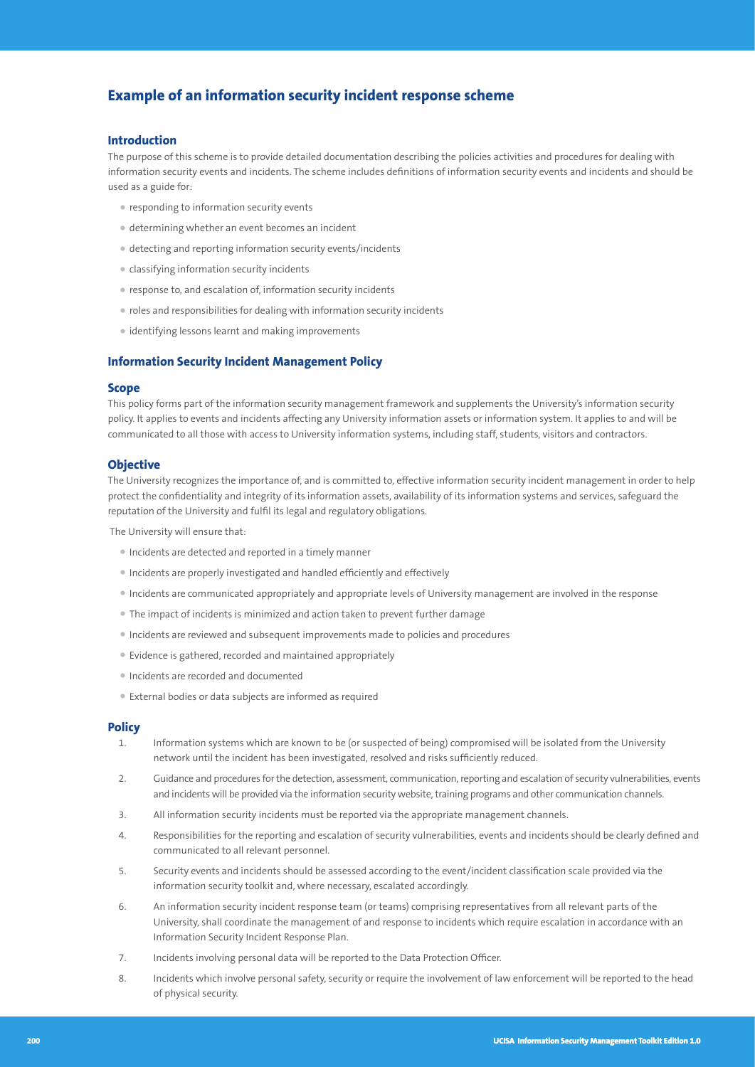# **Example of an information security incident response scheme**

#### **Introduction**

The purpose of this scheme is to provide detailed documentation describing the policies activities and procedures for dealing with information security events and incidents. The scheme includes definitions of information security events and incidents and should be used as a guide for:

- responding to information security events
- determining whether an event becomes an incident
- detecting and reporting information security events/incidents
- classifying information security incidents
- response to, and escalation of, information security incidents
- roles and responsibilities for dealing with information security incidents
- identifying lessons learnt and making improvements

#### **Information Security Incident Management Policy**

### **Scope**

This policy forms part of the information security management framework and supplements the University's information security policy. It applies to events and incidents affecting any University information assets or information system. It applies to and will be communicated to all those with access to University information systems, including staff, students, visitors and contractors.

#### **Objective**

The University recognizes the importance of, and is committed to, effective information security incident management in order to help protect the confidentiality and integrity of its information assets, availability of its information systems and services, safeguard the reputation of the University and fulfil its legal and regulatory obligations.

The University will ensure that:

- Incidents are detected and reported in a timely manner
- Incidents are properly investigated and handled efficiently and effectively
- Incidents are communicated appropriately and appropriate levels of University management are involved in the response
- The impact of incidents is minimized and action taken to prevent further damage
- Incidents are reviewed and subsequent improvements made to policies and procedures
- Evidence is gathered, recorded and maintained appropriately
- Incidents are recorded and documented
- External bodies or data subjects are informed as required

#### **Policy**

- 1. Information systems which are known to be (or suspected of being) compromised will be isolated from the University network until the incident has been investigated, resolved and risks sufficiently reduced.
- 2. Guidance and procedures for the detection, assessment, communication, reporting and escalation of security vulnerabilities, events and incidents will be provided via the information security website, training programs and other communication channels.
- 3. All information security incidents must be reported via the appropriate management channels.
- 4. Responsibilities for the reporting and escalation of security vulnerabilities, events and incidents should be clearly defined and communicated to all relevant personnel.
- 5. Security events and incidents should be assessed according to the event/incident classification scale provided via the information security toolkit and, where necessary, escalated accordingly.
- 6. An information security incident response team (or teams) comprising representatives from all relevant parts of the University, shall coordinate the management of and response to incidents which require escalation in accordance with an Information Security Incident Response Plan.
- 7. Incidents involving personal data will be reported to the Data Protection Officer.
- 8. Incidents which involve personal safety, security or require the involvement of law enforcement will be reported to the head of physical security.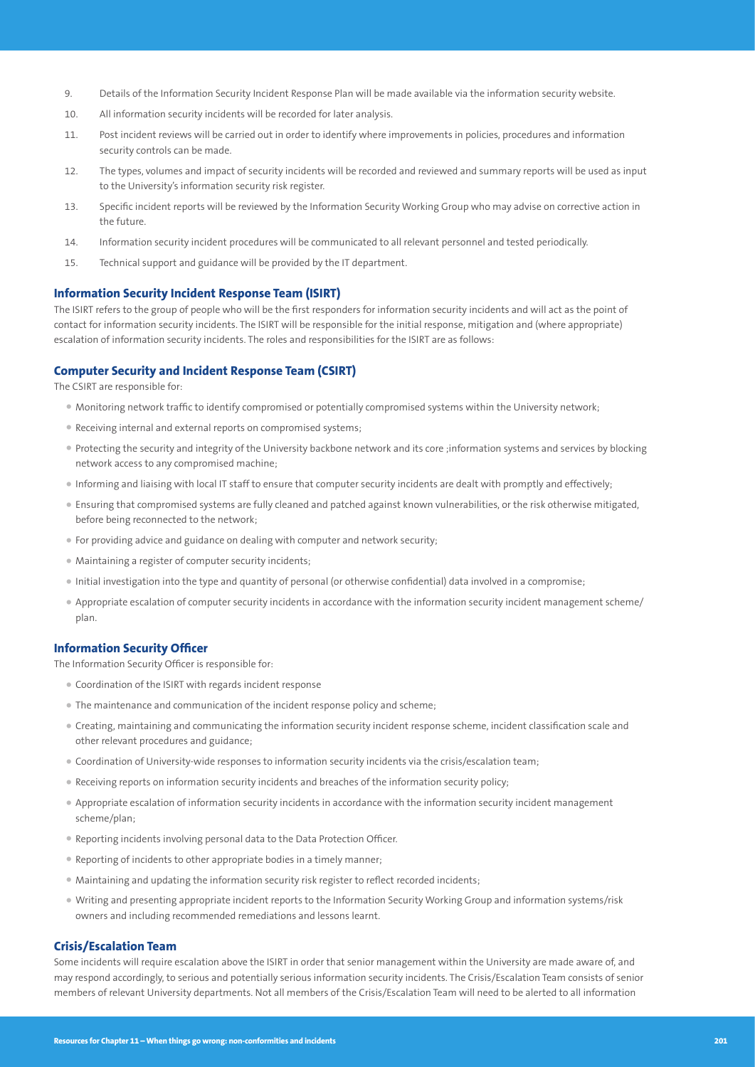- 9. Details of the Information Security Incident Response Plan will be made available via the information security website.
- 10. All information security incidents will be recorded for later analysis.
- 11. Post incident reviews will be carried out in order to identify where improvements in policies, procedures and information security controls can be made.
- 12. The types, volumes and impact of security incidents will be recorded and reviewed and summary reports will be used as input to the University's information security risk register.
- 13. Specific incident reports will be reviewed by the Information Security Working Group who may advise on corrective action in the future.
- 14. Information security incident procedures will be communicated to all relevant personnel and tested periodically.
- 15. Technical support and guidance will be provided by the IT department.

#### **Information Security Incident Response Team (ISIRT)**

The ISIRT refers to the group of people who will be the first responders for information security incidents and will act as the point of contact for information security incidents. The ISIRT will be responsible for the initial response, mitigation and (where appropriate) escalation of information security incidents. The roles and responsibilities for the ISIRT are as follows:

## **Computer Security and Incident Response Team (CSIRT)**

The CSIRT are responsible for:

- Monitoring network traffic to identify compromised or potentially compromised systems within the University network;
- Receiving internal and external reports on compromised systems;
- Protecting the security and integrity of the University backbone network and its core ;information systems and services by blocking network access to any compromised machine;
- Informing and liaising with local IT staff to ensure that computer security incidents are dealt with promptly and effectively;
- Ensuring that compromised systems are fully cleaned and patched against known vulnerabilities, or the risk otherwise mitigated, before being reconnected to the network;
- For providing advice and guidance on dealing with computer and network security;
- Maintaining a register of computer security incidents;
- Initial investigation into the type and quantity of personal (or otherwise confidential) data involved in a compromise;
- Appropriate escalation of computer security incidents in accordance with the information security incident management scheme/ plan.

#### **Information Security Officer**

The Information Security Officer is responsible for:

- Coordination of the ISIRT with regards incident response
- The maintenance and communication of the incident response policy and scheme;
- Creating, maintaining and communicating the information security incident response scheme, incident classification scale and other relevant procedures and guidance;
- Coordination of University-wide responses to information security incidents via the crisis/escalation team;
- Receiving reports on information security incidents and breaches of the information security policy;
- Appropriate escalation of information security incidents in accordance with the information security incident management scheme/plan;
- Reporting incidents involving personal data to the Data Protection Officer.
- Reporting of incidents to other appropriate bodies in a timely manner;
- Maintaining and updating the information security risk register to reflect recorded incidents;
- Writing and presenting appropriate incident reports to the Information Security Working Group and information systems/risk owners and including recommended remediations and lessons learnt.

## **Crisis/Escalation Team**

Some incidents will require escalation above the ISIRT in order that senior management within the University are made aware of, and may respond accordingly, to serious and potentially serious information security incidents. The Crisis/Escalation Team consists of senior members of relevant University departments. Not all members of the Crisis/Escalation Team will need to be alerted to all information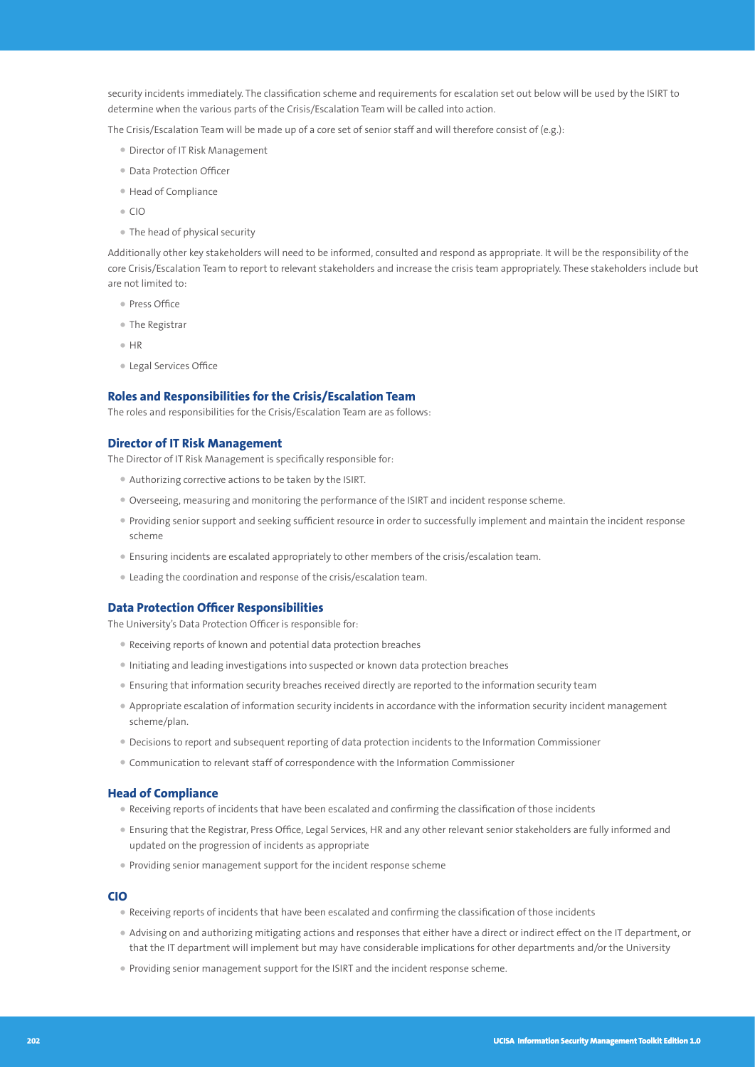security incidents immediately. The classification scheme and requirements for escalation set out below will be used by the ISIRT to determine when the various parts of the Crisis/Escalation Team will be called into action.

The Crisis/Escalation Team will be made up of a core set of senior staff and will therefore consist of (e.g.):

- Director of IT Risk Management
- Data Protection Officer
- Head of Compliance
- $\bullet$  CIO
- The head of physical security

Additionally other key stakeholders will need to be informed, consulted and respond as appropriate. It will be the responsibility of the core Crisis/Escalation Team to report to relevant stakeholders and increase the crisis team appropriately. These stakeholders include but are not limited to:

- Press Office
- The Registrar
- HR
- Legal Services Office

# **Roles and Responsibilities for the Crisis/Escalation Team**

The roles and responsibilities for the Crisis/Escalation Team are as follows:

#### **Director of IT Risk Management**

The Director of IT Risk Management is specifically responsible for:

- Authorizing corrective actions to be taken by the ISIRT.
- Overseeing, measuring and monitoring the performance of the ISIRT and incident response scheme.
- Providing senior support and seeking sufficient resource in order to successfully implement and maintain the incident response scheme
- Ensuring incidents are escalated appropriately to other members of the crisis/escalation team.
- Leading the coordination and response of the crisis/escalation team.

#### **Data Protection Officer Responsibilities**

The University's Data Protection Officer is responsible for:

- Receiving reports of known and potential data protection breaches
- Initiating and leading investigations into suspected or known data protection breaches
- Ensuring that information security breaches received directly are reported to the information security team
- Appropriate escalation of information security incidents in accordance with the information security incident management scheme/plan.
- Decisions to report and subsequent reporting of data protection incidents to the Information Commissioner
- Communication to relevant staff of correspondence with the Information Commissioner

#### **Head of Compliance**

- Receiving reports of incidents that have been escalated and confirming the classification of those incidents
- Ensuring that the Registrar, Press Office, Legal Services, HR and any other relevant senior stakeholders are fully informed and updated on the progression of incidents as appropriate
- Providing senior management support for the incident response scheme

#### **CIO**

- Receiving reports of incidents that have been escalated and confirming the classification of those incidents
- Advising on and authorizing mitigating actions and responses that either have a direct or indirect effect on the IT department, or that the IT department will implement but may have considerable implications for other departments and/or the University
- Providing senior management support for the ISIRT and the incident response scheme.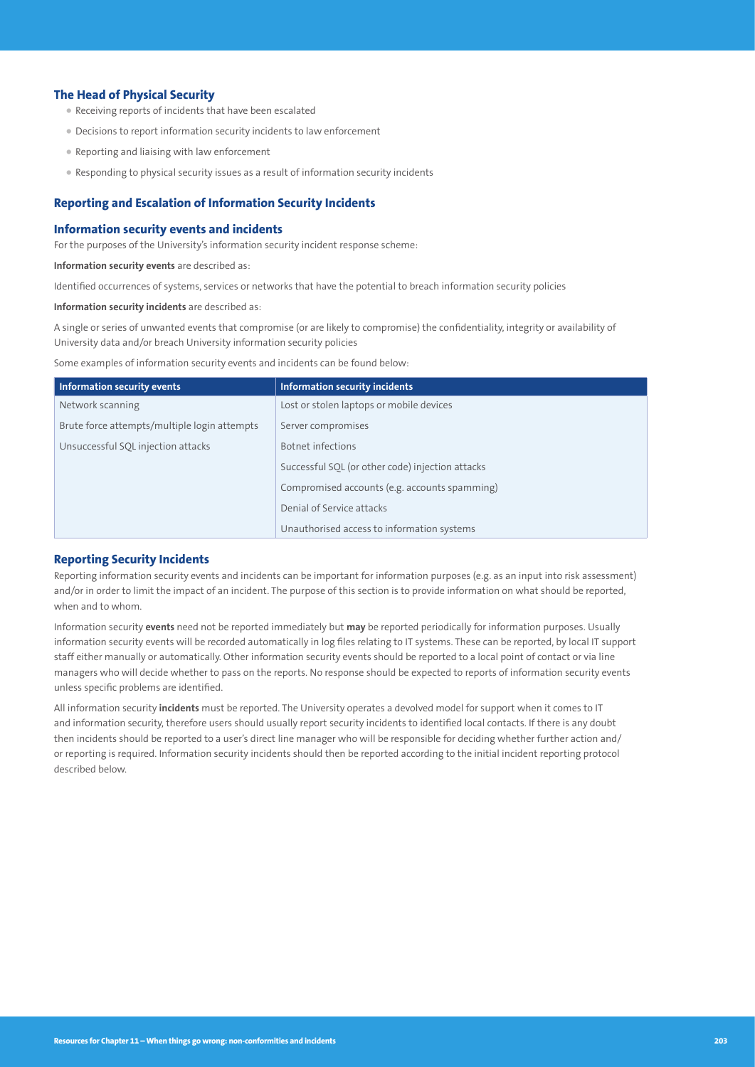## **The Head of Physical Security**

- Receiving reports of incidents that have been escalated
- Decisions to report information security incidents to law enforcement
- Reporting and liaising with law enforcement
- Responding to physical security issues as a result of information security incidents

## **Reporting and Escalation of Information Security Incidents**

#### **Information security events and incidents**

For the purposes of the University's information security incident response scheme:

**Information security events** are described as:

Identified occurrences of systems, services or networks that have the potential to breach information security policies

**Information security incidents** are described as:

A single or series of unwanted events that compromise (or are likely to compromise) the confidentiality, integrity or availability of University data and/or breach University information security policies

Some examples of information security events and incidents can be found below:

| <b>Information security events</b>           | <b>Information security incidents</b>            |
|----------------------------------------------|--------------------------------------------------|
| Network scanning                             | Lost or stolen laptops or mobile devices         |
| Brute force attempts/multiple login attempts | Server compromises                               |
| Unsuccessful SQL injection attacks           | Botnet infections                                |
|                                              | Successful SQL (or other code) injection attacks |
|                                              | Compromised accounts (e.g. accounts spamming)    |
|                                              | Denial of Service attacks                        |
|                                              | Unauthorised access to information systems       |

# **Reporting Security Incidents**

Reporting information security events and incidents can be important for information purposes (e.g. as an input into risk assessment) and/or in order to limit the impact of an incident. The purpose of this section is to provide information on what should be reported, when and to whom.

Information security **events** need not be reported immediately but **may** be reported periodically for information purposes. Usually information security events will be recorded automatically in log files relating to IT systems. These can be reported, by local IT support staff either manually or automatically. Other information security events should be reported to a local point of contact or via line managers who will decide whether to pass on the reports. No response should be expected to reports of information security events unless specific problems are identified.

All information security **incidents** must be reported. The University operates a devolved model for support when it comes to IT and information security, therefore users should usually report security incidents to identified local contacts. If there is any doubt then incidents should be reported to a user's direct line manager who will be responsible for deciding whether further action and/ or reporting is required. Information security incidents should then be reported according to the initial incident reporting protocol described below.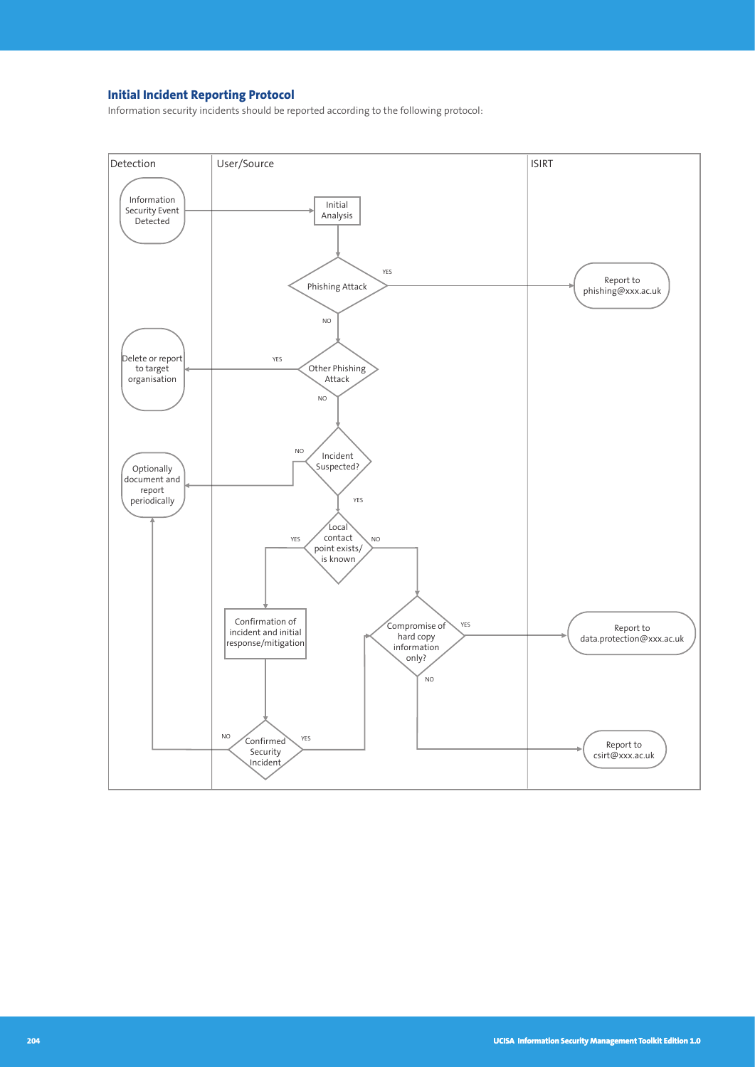# **Initial Incident Reporting Protocol**

Information security incidents should be reported according to the following protocol:

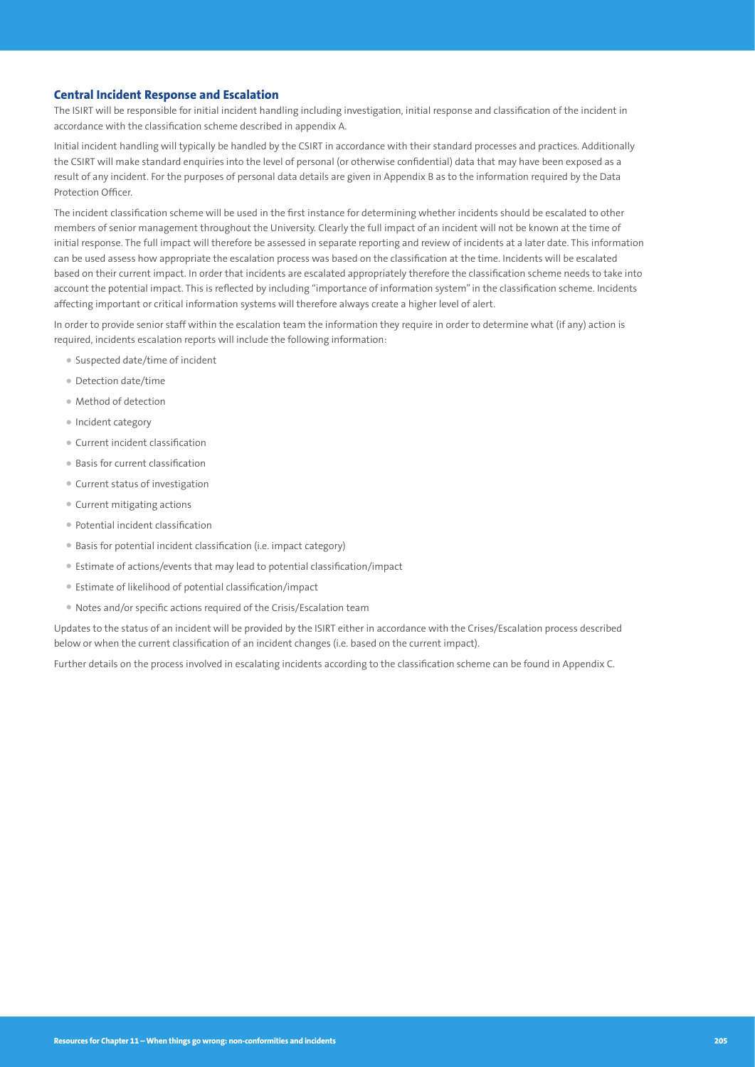# **Central Incident Response and Escalation**

The ISIRT will be responsible for initial incident handling including investigation, initial response and classification of the incident in accordance with the classification scheme described in appendix A.

Initial incident handling will typically be handled by the CSIRT in accordance with their standard processes and practices. Additionally the CSIRT will make standard enquiries into the level of personal (or otherwise confidential) data that may have been exposed as a result of any incident. For the purposes of personal data details are given in Appendix B as to the information required by the Data Protection Officer.

The incident classification scheme will be used in the first instance for determining whether incidents should be escalated to other members of senior management throughout the University. Clearly the full impact of an incident will not be known at the time of initial response. The full impact will therefore be assessed in separate reporting and review of incidents at a later date. This information can be used assess how appropriate the escalation process was based on the classification at the time. Incidents will be escalated based on their current impact. In order that incidents are escalated appropriately therefore the classification scheme needs to take into account the potential impact. This is reflected by including "importance of information system" in the classification scheme. Incidents affecting important or critical information systems will therefore always create a higher level of alert.

In order to provide senior staff within the escalation team the information they require in order to determine what (if any) action is required, incidents escalation reports will include the following information:

- Suspected date/time of incident
- Detection date/time
- Method of detection
- Incident category
- Current incident classification
- Basis for current classification
- Current status of investigation
- Current mitigating actions
- Potential incident classification
- Basis for potential incident classification (i.e. impact category)
- Estimate of actions/events that may lead to potential classification/impact
- Estimate of likelihood of potential classification/impact
- Notes and/or specific actions required of the Crisis/Escalation team

Updates to the status of an incident will be provided by the ISIRT either in accordance with the Crises/Escalation process described below or when the current classification of an incident changes (i.e. based on the current impact).

Further details on the process involved in escalating incidents according to the classification scheme can be found in Appendix C.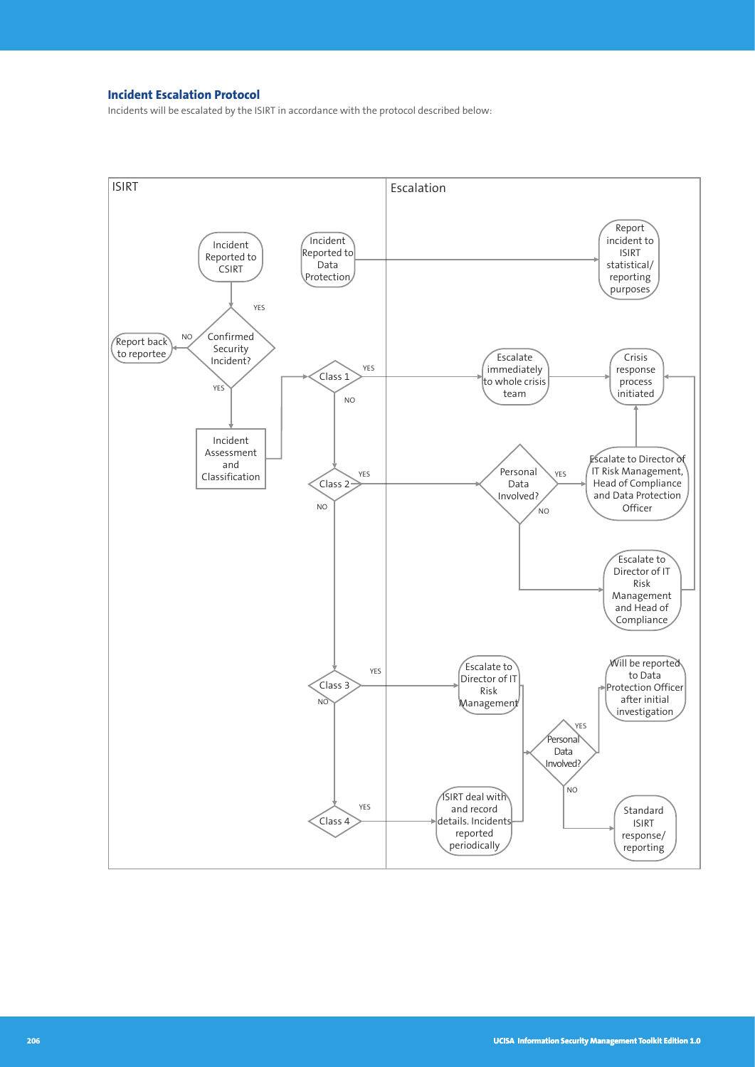# **Incident Escalation Protocol**

Incidents will be escalated by the ISIRT in accordance with the protocol described below:

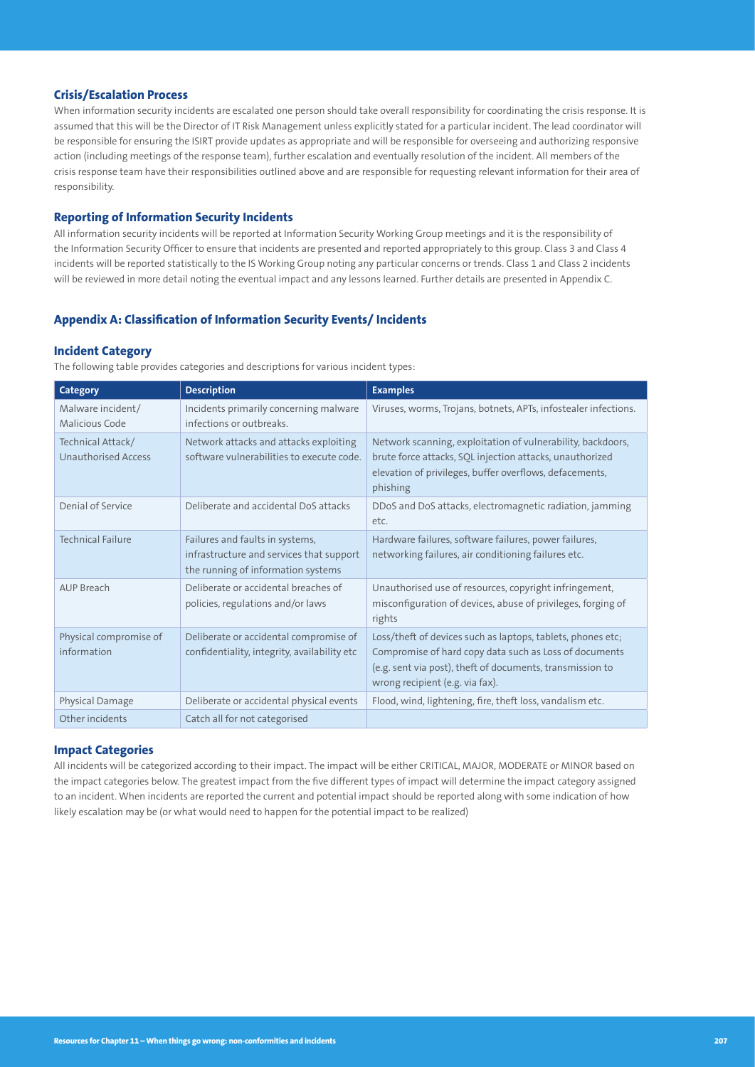## **Crisis/Escalation Process**

When information security incidents are escalated one person should take overall responsibility for coordinating the crisis response. It is assumed that this will be the Director of IT Risk Management unless explicitly stated for a particular incident. The lead coordinator will be responsible for ensuring the ISIRT provide updates as appropriate and will be responsible for overseeing and authorizing responsive action (including meetings of the response team), further escalation and eventually resolution of the incident. All members of the crisis response team have their responsibilities outlined above and are responsible for requesting relevant information for their area of responsibility.

## **Reporting of Information Security Incidents**

All information security incidents will be reported at Information Security Working Group meetings and it is the responsibility of the Information Security Officer to ensure that incidents are presented and reported appropriately to this group. Class 3 and Class 4 incidents will be reported statistically to the IS Working Group noting any particular concerns or trends. Class 1 and Class 2 incidents will be reviewed in more detail noting the eventual impact and any lessons learned. Further details are presented in Appendix C.

#### **Appendix A: Classification of Information Security Events/ Incidents**

#### **Incident Category**

The following table provides categories and descriptions for various incident types:

| Category                                        | <b>Description</b>                                                                                                | <b>Examples</b>                                                                                                                                                                                                       |
|-------------------------------------------------|-------------------------------------------------------------------------------------------------------------------|-----------------------------------------------------------------------------------------------------------------------------------------------------------------------------------------------------------------------|
| Malware incident/<br>Malicious Code             | Incidents primarily concerning malware<br>infections or outbreaks.                                                | Viruses, worms, Trojans, botnets, APTs, infostealer infections.                                                                                                                                                       |
| Technical Attack/<br><b>Unauthorised Access</b> | Network attacks and attacks exploiting<br>software vulnerabilities to execute code.                               | Network scanning, exploitation of vulnerability, backdoors,<br>brute force attacks, SQL injection attacks, unauthorized<br>elevation of privileges, buffer overflows, defacements,<br>phishing                        |
| Denial of Service                               | Deliberate and accidental DoS attacks                                                                             | DDoS and DoS attacks, electromagnetic radiation, jamming<br>etc.                                                                                                                                                      |
| <b>Technical Failure</b>                        | Failures and faults in systems,<br>infrastructure and services that support<br>the running of information systems | Hardware failures, software failures, power failures,<br>networking failures, air conditioning failures etc.                                                                                                          |
| AUP Breach                                      | Deliberate or accidental breaches of<br>policies, regulations and/or laws                                         | Unauthorised use of resources, copyright infringement,<br>misconfiguration of devices, abuse of privileges, forging of<br>rights                                                                                      |
| Physical compromise of<br>information           | Deliberate or accidental compromise of<br>confidentiality, integrity, availability etc.                           | Loss/theft of devices such as laptops, tablets, phones etc;<br>Compromise of hard copy data such as Loss of documents<br>(e.g. sent via post), theft of documents, transmission to<br>wrong recipient (e.g. via fax). |
| Physical Damage                                 | Deliberate or accidental physical events                                                                          | Flood, wind, lightening, fire, theft loss, vandalism etc.                                                                                                                                                             |
| Other incidents                                 | Catch all for not categorised                                                                                     |                                                                                                                                                                                                                       |

#### **Impact Categories**

All incidents will be categorized according to their impact. The impact will be either CRITICAL, MAJOR, MODERATE or MINOR based on the impact categories below. The greatest impact from the five different types of impact will determine the impact category assigned to an incident. When incidents are reported the current and potential impact should be reported along with some indication of how likely escalation may be (or what would need to happen for the potential impact to be realized)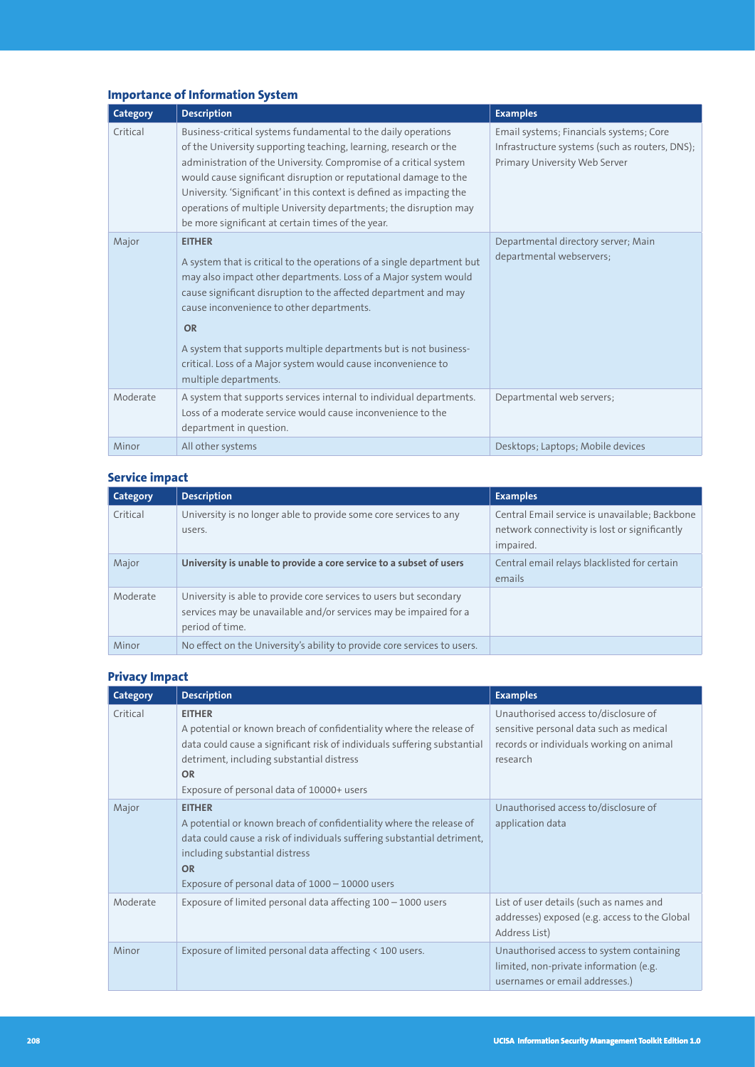# **Importance of Information System**

| <b>Category</b> | <b>Description</b>                                                                                                                                                                                                                                                                                                                                                                                                                                                            | <b>Examples</b>                                                                                                            |
|-----------------|-------------------------------------------------------------------------------------------------------------------------------------------------------------------------------------------------------------------------------------------------------------------------------------------------------------------------------------------------------------------------------------------------------------------------------------------------------------------------------|----------------------------------------------------------------------------------------------------------------------------|
| Critical        | Business-critical systems fundamental to the daily operations<br>of the University supporting teaching, learning, research or the<br>administration of the University. Compromise of a critical system<br>would cause significant disruption or reputational damage to the<br>University. 'Significant' in this context is defined as impacting the<br>operations of multiple University departments; the disruption may<br>be more significant at certain times of the year. | Email systems; Financials systems; Core<br>Infrastructure systems (such as routers, DNS);<br>Primary University Web Server |
| Major           | <b>EITHER</b><br>A system that is critical to the operations of a single department but<br>may also impact other departments. Loss of a Major system would<br>cause significant disruption to the affected department and may<br>cause inconvenience to other departments.<br><b>OR</b><br>A system that supports multiple departments but is not business-<br>critical. Loss of a Major system would cause inconvenience to<br>multiple departments.                         | Departmental directory server; Main<br>departmental webservers;                                                            |
| Moderate        | A system that supports services internal to individual departments.<br>Loss of a moderate service would cause inconvenience to the<br>department in question.                                                                                                                                                                                                                                                                                                                 | Departmental web servers;                                                                                                  |
| Minor           | All other systems                                                                                                                                                                                                                                                                                                                                                                                                                                                             | Desktops; Laptops; Mobile devices                                                                                          |

# **Service impact**

| Category | <b>Description</b>                                                                                                                                         | <b>Examples</b>                                                                                              |
|----------|------------------------------------------------------------------------------------------------------------------------------------------------------------|--------------------------------------------------------------------------------------------------------------|
| Critical | University is no longer able to provide some core services to any<br>users.                                                                                | Central Email service is unavailable; Backbone<br>network connectivity is lost or significantly<br>impaired. |
| Major    | University is unable to provide a core service to a subset of users                                                                                        | Central email relays blacklisted for certain<br>emails                                                       |
| Moderate | University is able to provide core services to users but secondary<br>services may be unavailable and/or services may be impaired for a<br>period of time. |                                                                                                              |
| Minor    | No effect on the University's ability to provide core services to users.                                                                                   |                                                                                                              |

# **Privacy Impact**

| <b>Category</b> | <b>Description</b>                                                                                                                                                                                                                                                      | <b>Examples</b>                                                                                                                         |
|-----------------|-------------------------------------------------------------------------------------------------------------------------------------------------------------------------------------------------------------------------------------------------------------------------|-----------------------------------------------------------------------------------------------------------------------------------------|
| Critical        | <b>EITHER</b><br>A potential or known breach of confidentiality where the release of<br>data could cause a significant risk of individuals suffering substantial<br>detriment, including substantial distress<br><b>OR</b><br>Exposure of personal data of 10000+ users | Unauthorised access to/disclosure of<br>sensitive personal data such as medical<br>records or individuals working on animal<br>research |
| Major           | <b>EITHER</b><br>A potential or known breach of confidentiality where the release of<br>data could cause a risk of individuals suffering substantial detriment,<br>including substantial distress<br><b>OR</b><br>Exposure of personal data of 1000 - 10000 users       | Unauthorised access to/disclosure of<br>application data                                                                                |
| Moderate        | Exposure of limited personal data affecting $100 - 1000$ users                                                                                                                                                                                                          | List of user details (such as names and<br>addresses) exposed (e.g. access to the Global<br>Address List)                               |
| Minor           | Exposure of limited personal data affecting < 100 users.                                                                                                                                                                                                                | Unauthorised access to system containing<br>limited, non-private information (e.g.<br>usernames or email addresses.)                    |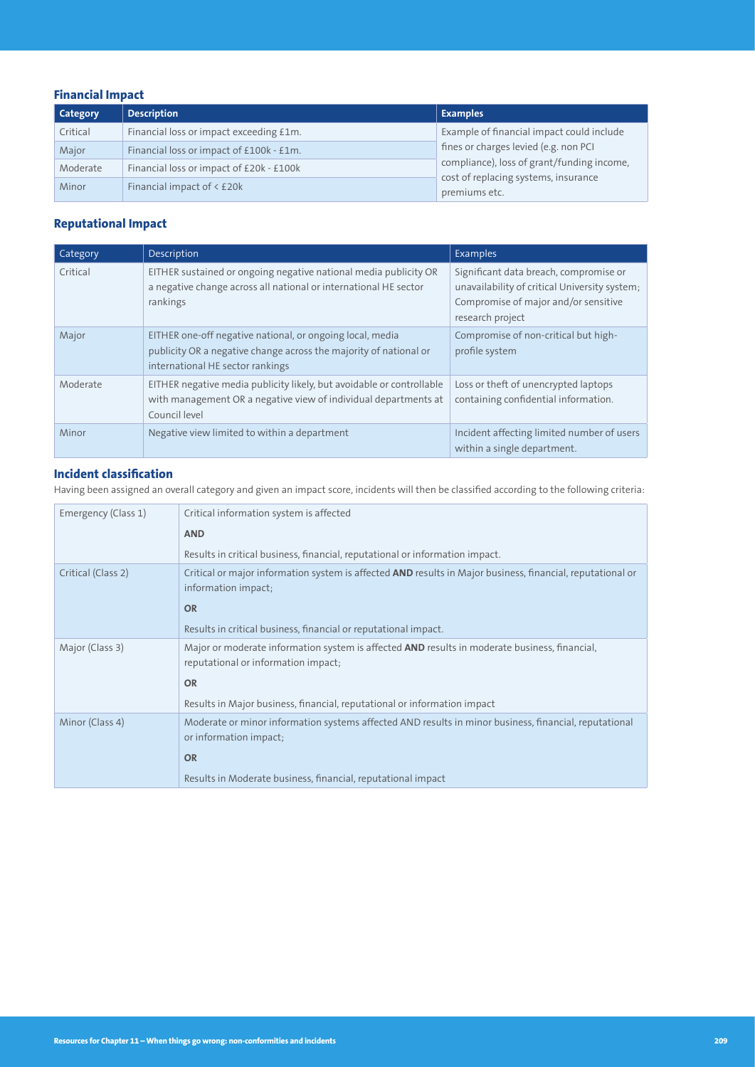# **Financial Impact**

| <b>Category</b> | <b>Description</b>                       | <b>Examples</b>                                       |
|-----------------|------------------------------------------|-------------------------------------------------------|
| Critical        | Financial loss or impact exceeding £1m.  | Example of financial impact could include             |
| Major           | Financial loss or impact of £100k - £1m. | fines or charges levied (e.g. non PCI                 |
| Moderate        | Financial loss or impact of £20k - £100k | compliance), loss of grant/funding income,            |
| Minor           | Financial impact of < £20k               | cost of replacing systems, insurance<br>premiums etc. |

# **Reputational Impact**

| Category | <b>Description</b>                                                                                                                                                 | Examples                                                                                                                                            |
|----------|--------------------------------------------------------------------------------------------------------------------------------------------------------------------|-----------------------------------------------------------------------------------------------------------------------------------------------------|
| Critical | EITHER sustained or ongoing negative national media publicity OR<br>a negative change across all national or international HE sector<br>rankings                   | Significant data breach, compromise or<br>unavailability of critical University system;<br>Compromise of major and/or sensitive<br>research project |
| Major    | EITHER one-off negative national, or ongoing local, media<br>publicity OR a negative change across the majority of national or<br>international HE sector rankings | Compromise of non-critical but high-<br>profile system                                                                                              |
| Moderate | EITHER negative media publicity likely, but avoidable or controllable<br>with management OR a negative view of individual departments at<br>Council level          | Loss or theft of unencrypted laptops<br>containing confidential information.                                                                        |
| Minor    | Negative view limited to within a department                                                                                                                       | Incident affecting limited number of users<br>within a single department.                                                                           |

# **Incident classification**

Having been assigned an overall category and given an impact score, incidents will then be classified according to the following criteria:

| Emergency (Class 1) | Critical information system is affected                                                                                                     |
|---------------------|---------------------------------------------------------------------------------------------------------------------------------------------|
|                     | <b>AND</b>                                                                                                                                  |
|                     | Results in critical business, financial, reputational or information impact.                                                                |
| Critical (Class 2)  | Critical or major information system is affected AND results in Major business, financial, reputational or<br>information impact;           |
|                     | <b>OR</b>                                                                                                                                   |
|                     | Results in critical business, financial or reputational impact.                                                                             |
| Major (Class 3)     | Major or moderate information system is affected <b>AND</b> results in moderate business, financial,<br>reputational or information impact; |
|                     | <b>OR</b>                                                                                                                                   |
|                     | Results in Major business, financial, reputational or information impact                                                                    |
| Minor (Class 4)     | Moderate or minor information systems affected AND results in minor business, financial, reputational<br>or information impact;             |
|                     | <b>OR</b>                                                                                                                                   |
|                     | Results in Moderate business, financial, reputational impact                                                                                |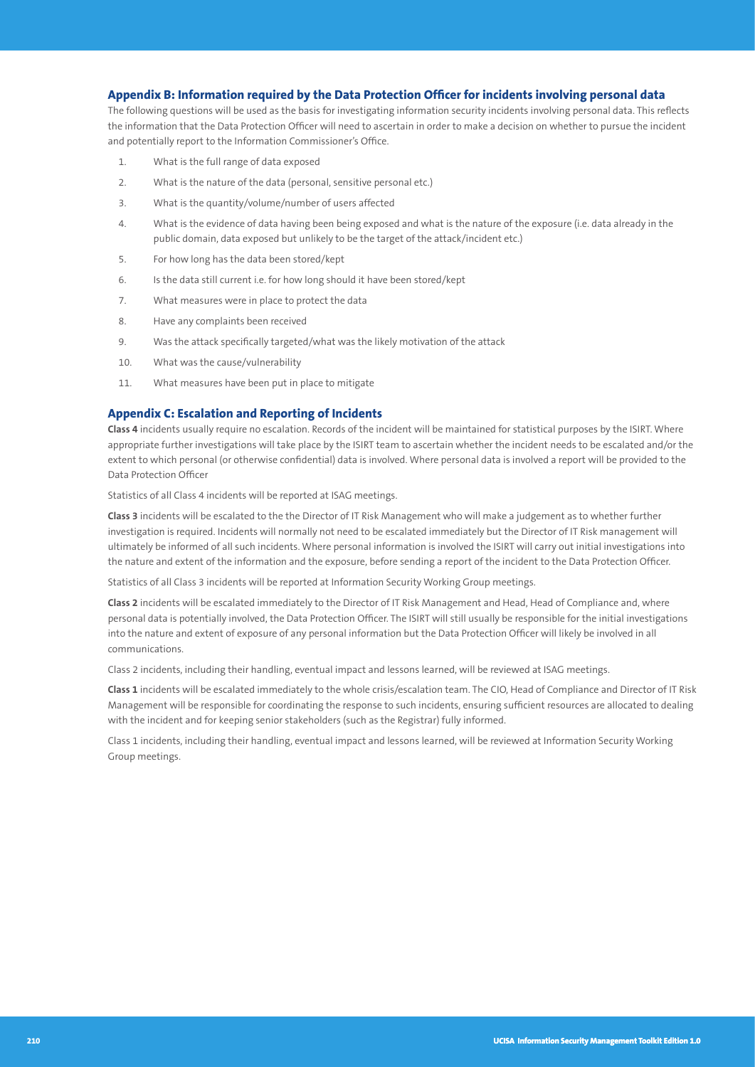## **Appendix B: Information required by the Data Protection Officer for incidents involving personal data**

The following questions will be used as the basis for investigating information security incidents involving personal data. This reflects the information that the Data Protection Officer will need to ascertain in order to make a decision on whether to pursue the incident and potentially report to the Information Commissioner's Office.

- 1. What is the full range of data exposed
- 2. What is the nature of the data (personal, sensitive personal etc.)
- 3. What is the quantity/volume/number of users affected
- 4. What is the evidence of data having been being exposed and what is the nature of the exposure (i.e. data already in the public domain, data exposed but unlikely to be the target of the attack/incident etc.)
- 5. For how long has the data been stored/kept
- 6. Is the data still current i.e. for how long should it have been stored/kept
- 7. What measures were in place to protect the data
- 8. Have any complaints been received
- 9. Was the attack specifically targeted/what was the likely motivation of the attack
- 10. What was the cause/vulnerability
- 11. What measures have been put in place to mitigate

# **Appendix C: Escalation and Reporting of Incidents**

**Class 4** incidents usually require no escalation. Records of the incident will be maintained for statistical purposes by the ISIRT. Where appropriate further investigations will take place by the ISIRT team to ascertain whether the incident needs to be escalated and/or the extent to which personal (or otherwise confidential) data is involved. Where personal data is involved a report will be provided to the Data Protection Officer

Statistics of all Class 4 incidents will be reported at ISAG meetings.

**Class 3** incidents will be escalated to the the Director of IT Risk Management who will make a judgement as to whether further investigation is required. Incidents will normally not need to be escalated immediately but the Director of IT Risk management will ultimately be informed of all such incidents. Where personal information is involved the ISIRT will carry out initial investigations into the nature and extent of the information and the exposure, before sending a report of the incident to the Data Protection Officer.

Statistics of all Class 3 incidents will be reported at Information Security Working Group meetings.

**Class 2** incidents will be escalated immediately to the Director of IT Risk Management and Head, Head of Compliance and, where personal data is potentially involved, the Data Protection Officer. The ISIRT will still usually be responsible for the initial investigations into the nature and extent of exposure of any personal information but the Data Protection Officer will likely be involved in all communications.

Class 2 incidents, including their handling, eventual impact and lessons learned, will be reviewed at ISAG meetings.

**Class 1** incidents will be escalated immediately to the whole crisis/escalation team. The CIO, Head of Compliance and Director of IT Risk Management will be responsible for coordinating the response to such incidents, ensuring sufficient resources are allocated to dealing with the incident and for keeping senior stakeholders (such as the Registrar) fully informed.

Class 1 incidents, including their handling, eventual impact and lessons learned, will be reviewed at Information Security Working Group meetings.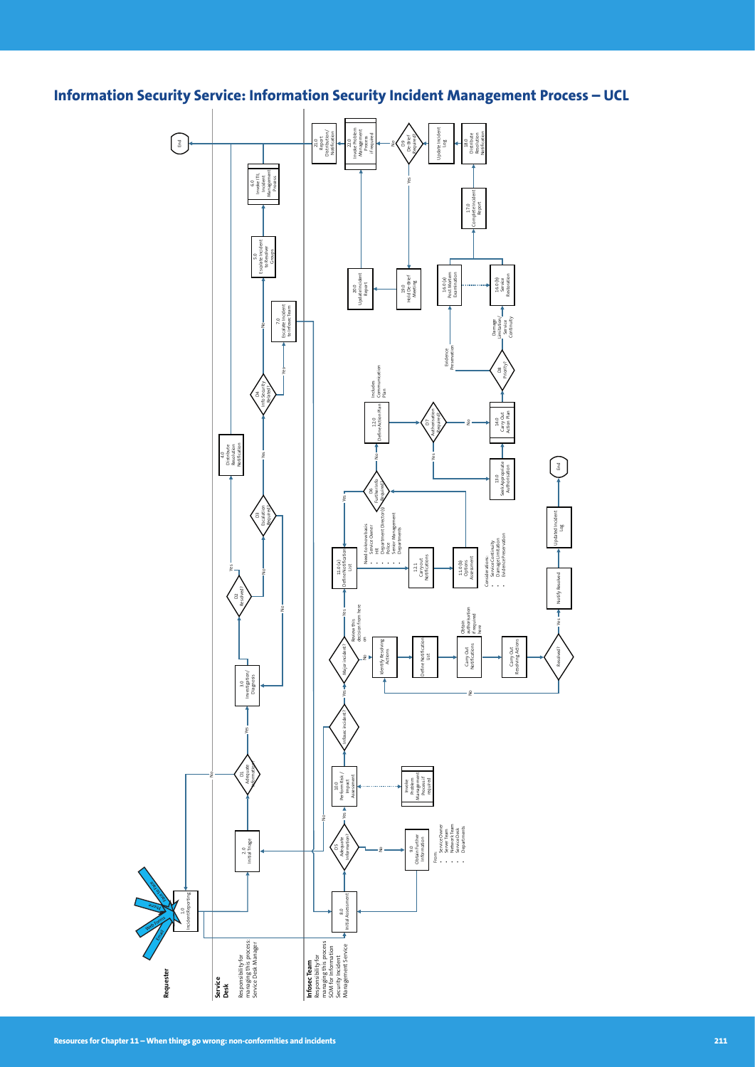**Information Security Service: Information Security Incident Management Process – UCL**

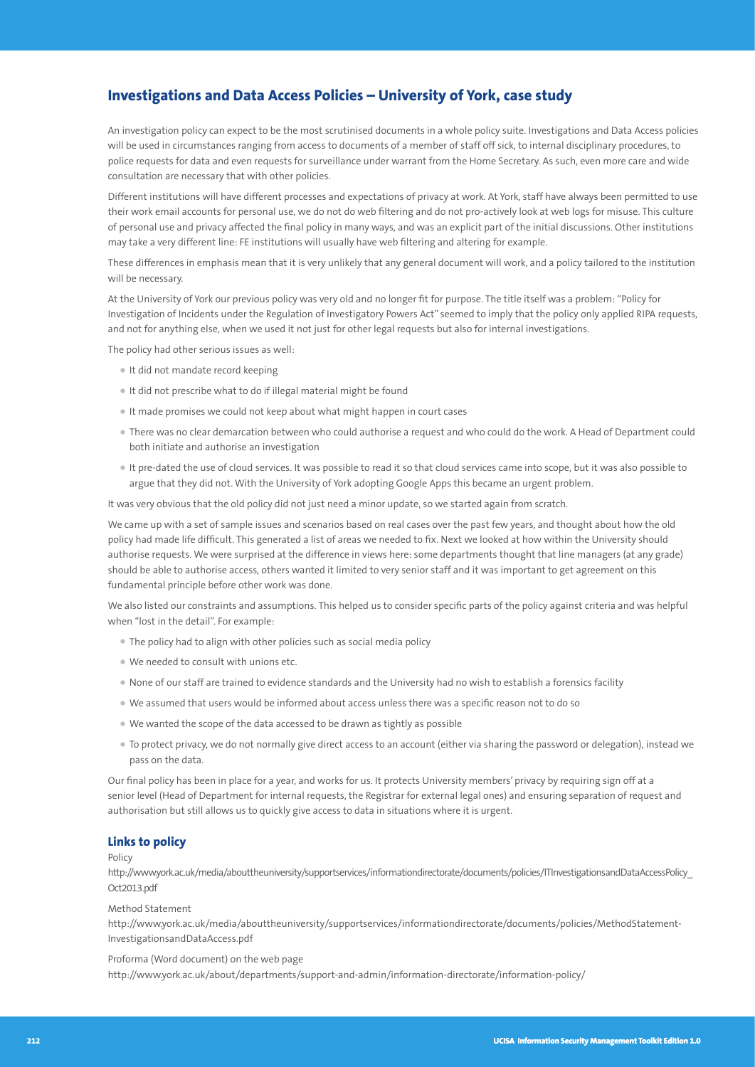# **Investigations and Data Access Policies – University of York, case study**

An investigation policy can expect to be the most scrutinised documents in a whole policy suite. Investigations and Data Access policies will be used in circumstances ranging from access to documents of a member of staff off sick, to internal disciplinary procedures, to police requests for data and even requests for surveillance under warrant from the Home Secretary. As such, even more care and wide consultation are necessary that with other policies.

Different institutions will have different processes and expectations of privacy at work. At York, staff have always been permitted to use their work email accounts for personal use, we do not do web filtering and do not pro-actively look at web logs for misuse. This culture of personal use and privacy affected the final policy in many ways, and was an explicit part of the initial discussions. Other institutions may take a very different line: FE institutions will usually have web filtering and altering for example.

These differences in emphasis mean that it is very unlikely that any general document will work, and a policy tailored to the institution will be necessary.

At the University of York our previous policy was very old and no longer fit for purpose. The title itself was a problem: "Policy for Investigation of Incidents under the Regulation of Investigatory Powers Act" seemed to imply that the policy only applied RIPA requests, and not for anything else, when we used it not just for other legal requests but also for internal investigations.

The policy had other serious issues as well:

- It did not mandate record keeping
- It did not prescribe what to do if illegal material might be found
- It made promises we could not keep about what might happen in court cases
- There was no clear demarcation between who could authorise a request and who could do the work. A Head of Department could both initiate and authorise an investigation
- It pre-dated the use of cloud services. It was possible to read it so that cloud services came into scope, but it was also possible to argue that they did not. With the University of York adopting Google Apps this became an urgent problem.

It was very obvious that the old policy did not just need a minor update, so we started again from scratch.

We came up with a set of sample issues and scenarios based on real cases over the past few years, and thought about how the old policy had made life difficult. This generated a list of areas we needed to fix. Next we looked at how within the University should authorise requests. We were surprised at the difference in views here: some departments thought that line managers (at any grade) should be able to authorise access, others wanted it limited to very senior staff and it was important to get agreement on this fundamental principle before other work was done.

We also listed our constraints and assumptions. This helped us to consider specific parts of the policy against criteria and was helpful when "lost in the detail". For example:

- The policy had to align with other policies such as social media policy
- We needed to consult with unions etc.
- None of our staff are trained to evidence standards and the University had no wish to establish a forensics facility
- We assumed that users would be informed about access unless there was a specific reason not to do so
- We wanted the scope of the data accessed to be drawn as tightly as possible
- To protect privacy, we do not normally give direct access to an account (either via sharing the password or delegation), instead we pass on the data.

Our final policy has been in place for a year, and works for us. It protects University members' privacy by requiring sign off at a senior level (Head of Department for internal requests, the Registrar for external legal ones) and ensuring separation of request and authorisation but still allows us to quickly give access to data in situations where it is urgent.

## **Links to policy**

#### Policy

[http://www.york.ac.uk/media/abouttheuniversity/supportservices/informationdirectorate/documents/policies/ITInvestigationsandDataAccessPolicy\\_](http://www.york.ac.uk/media/abouttheuniversity/supportservices/informationdirectorate/documents/policies/ITInvestigationsandDataAccessPolicy_Oct2013.pdf) [Oct2013.pdf](http://www.york.ac.uk/media/abouttheuniversity/supportservices/informationdirectorate/documents/policies/ITInvestigationsandDataAccessPolicy_Oct2013.pdf)

Method Statement

[http://www.york.ac.uk/media/abouttheuniversity/supportservices/informationdirectorate/documents/policies/MethodStatement-](http://www.york.ac.uk/media/abouttheuniversity/supportservices/informationdirectorate/documents/policies/MethodStatement-InvestigationsandDataAccess.pdf)[InvestigationsandDataAccess.pdf](http://www.york.ac.uk/media/abouttheuniversity/supportservices/informationdirectorate/documents/policies/MethodStatement-InvestigationsandDataAccess.pdf)

Proforma (Word document) on the web page

[http://www.york.ac.uk/about/departments/support-and-admin/information-directorate/information-policy/](http://www.york.ac.uk/about/departments/support-and-admin/information-directorate/information-policy)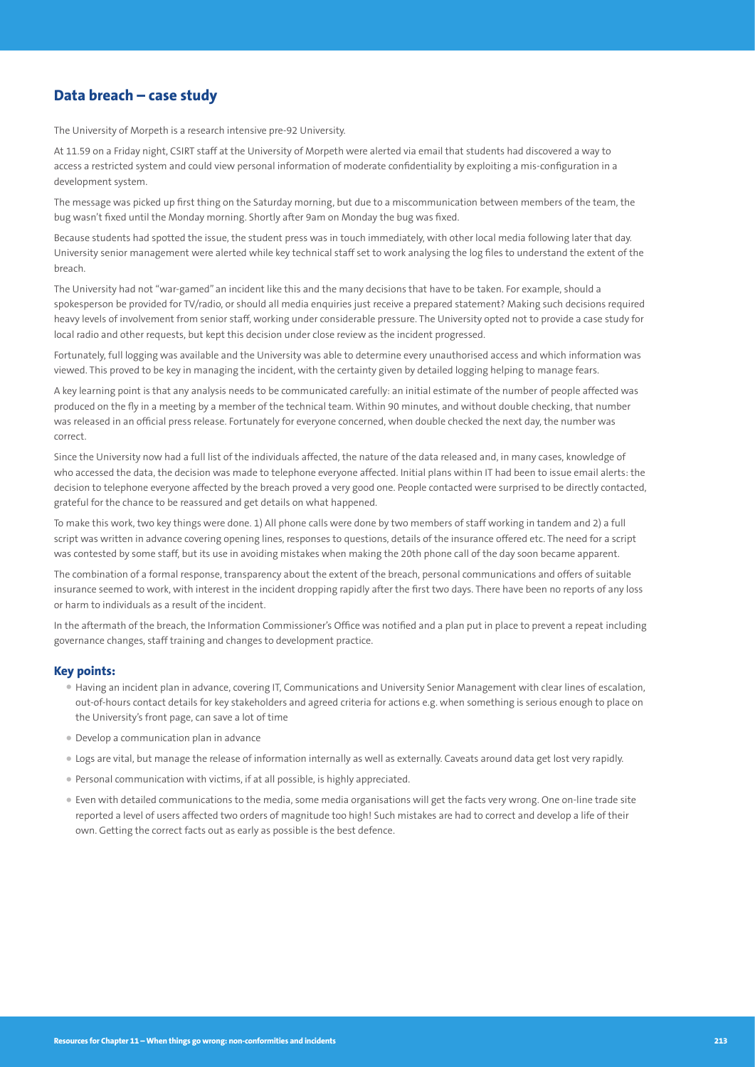# **Data breach – case study**

The University of Morpeth is a research intensive pre-92 University.

At 11.59 on a Friday night, CSIRT staff at the University of Morpeth were alerted via email that students had discovered a way to access a restricted system and could view personal information of moderate confidentiality by exploiting a mis-configuration in a development system.

The message was picked up first thing on the Saturday morning, but due to a miscommunication between members of the team, the bug wasn't fixed until the Monday morning. Shortly after 9am on Monday the bug was fixed.

Because students had spotted the issue, the student press was in touch immediately, with other local media following later that day. University senior management were alerted while key technical staff set to work analysing the log files to understand the extent of the breach.

The University had not "war-gamed" an incident like this and the many decisions that have to be taken. For example, should a spokesperson be provided for TV/radio, or should all media enquiries just receive a prepared statement? Making such decisions required heavy levels of involvement from senior staff, working under considerable pressure. The University opted not to provide a case study for local radio and other requests, but kept this decision under close review as the incident progressed.

Fortunately, full logging was available and the University was able to determine every unauthorised access and which information was viewed. This proved to be key in managing the incident, with the certainty given by detailed logging helping to manage fears.

A key learning point is that any analysis needs to be communicated carefully: an initial estimate of the number of people affected was produced on the fly in a meeting by a member of the technical team. Within 90 minutes, and without double checking, that number was released in an official press release. Fortunately for everyone concerned, when double checked the next day, the number was correct.

Since the University now had a full list of the individuals affected, the nature of the data released and, in many cases, knowledge of who accessed the data, the decision was made to telephone everyone affected. Initial plans within IT had been to issue email alerts: the decision to telephone everyone affected by the breach proved a very good one. People contacted were surprised to be directly contacted, grateful for the chance to be reassured and get details on what happened.

To make this work, two key things were done. 1) All phone calls were done by two members of staff working in tandem and 2) a full script was written in advance covering opening lines, responses to questions, details of the insurance offered etc. The need for a script was contested by some staff, but its use in avoiding mistakes when making the 20th phone call of the day soon became apparent.

The combination of a formal response, transparency about the extent of the breach, personal communications and offers of suitable insurance seemed to work, with interest in the incident dropping rapidly after the first two days. There have been no reports of any loss or harm to individuals as a result of the incident.

In the aftermath of the breach, the Information Commissioner's Office was notified and a plan put in place to prevent a repeat including governance changes, staff training and changes to development practice.

#### **Key points:**

- Having an incident plan in advance, covering IT, Communications and University Senior Management with clear lines of escalation, out-of-hours contact details for key stakeholders and agreed criteria for actions e.g. when something is serious enough to place on the University's front page, can save a lot of time
- Develop a communication plan in advance
- Logs are vital, but manage the release of information internally as well as externally. Caveats around data get lost very rapidly.
- Personal communication with victims, if at all possible, is highly appreciated.
- Even with detailed communications to the media, some media organisations will get the facts very wrong. One on-line trade site reported a level of users affected two orders of magnitude too high! Such mistakes are had to correct and develop a life of their own. Getting the correct facts out as early as possible is the best defence.